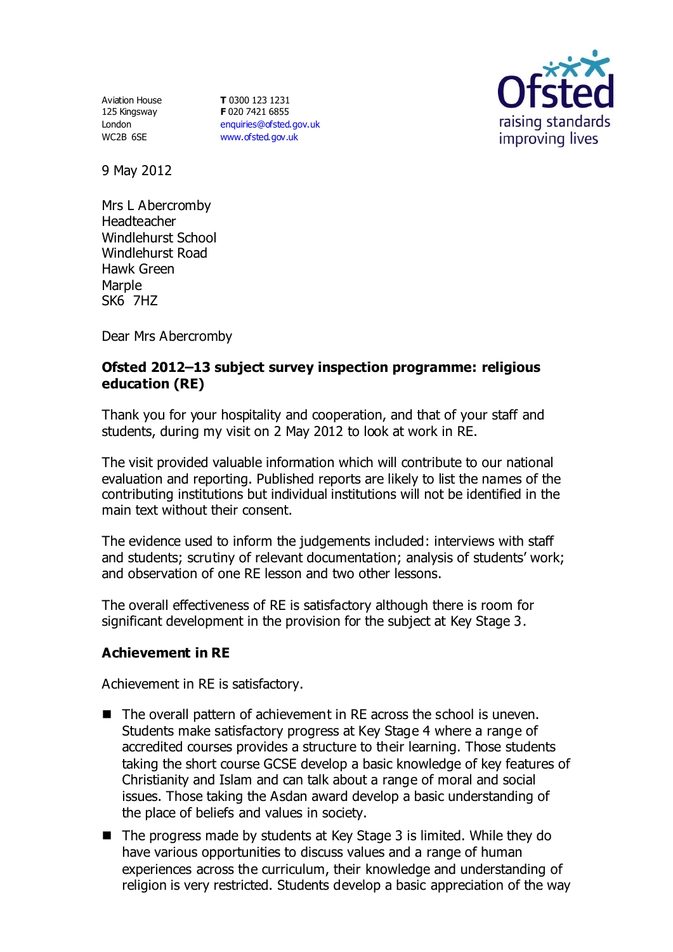Aviation House 125 Kingsway London WC2B 6SE

**T** 0300 123 1231 **F** 020 7421 6855 [enquiries@ofsted.gov.uk](mailto:enquiries@ofsted.gov.uk) [www.ofsted.gov.uk](http://www.ofsted.gov.uk/)



9 May 2012

Mrs L Abercromby Headteacher Windlehurst School Windlehurst Road Hawk Green Marple SK6 7HZ

Dear Mrs Abercromby

## **Ofsted 2012–13 subject survey inspection programme: religious education (RE)**

Thank you for your hospitality and cooperation, and that of your staff and students, during my visit on 2 May 2012 to look at work in RE.

The visit provided valuable information which will contribute to our national evaluation and reporting. Published reports are likely to list the names of the contributing institutions but individual institutions will not be identified in the main text without their consent.

The evidence used to inform the judgements included: interviews with staff and students; scrutiny of relevant documentation; analysis of students' work; and observation of one RE lesson and two other lessons.

The overall effectiveness of RE is satisfactory although there is room for significant development in the provision for the subject at Key Stage 3.

## **Achievement in RE**

Achievement in RE is satisfactory.

- The overall pattern of achievement in RE across the school is uneven. Students make satisfactory progress at Key Stage 4 where a range of accredited courses provides a structure to their learning. Those students taking the short course GCSE develop a basic knowledge of key features of Christianity and Islam and can talk about a range of moral and social issues. Those taking the Asdan award develop a basic understanding of the place of beliefs and values in society.
- $\blacksquare$  The progress made by students at Key Stage 3 is limited. While they do have various opportunities to discuss values and a range of human experiences across the curriculum, their knowledge and understanding of religion is very restricted. Students develop a basic appreciation of the way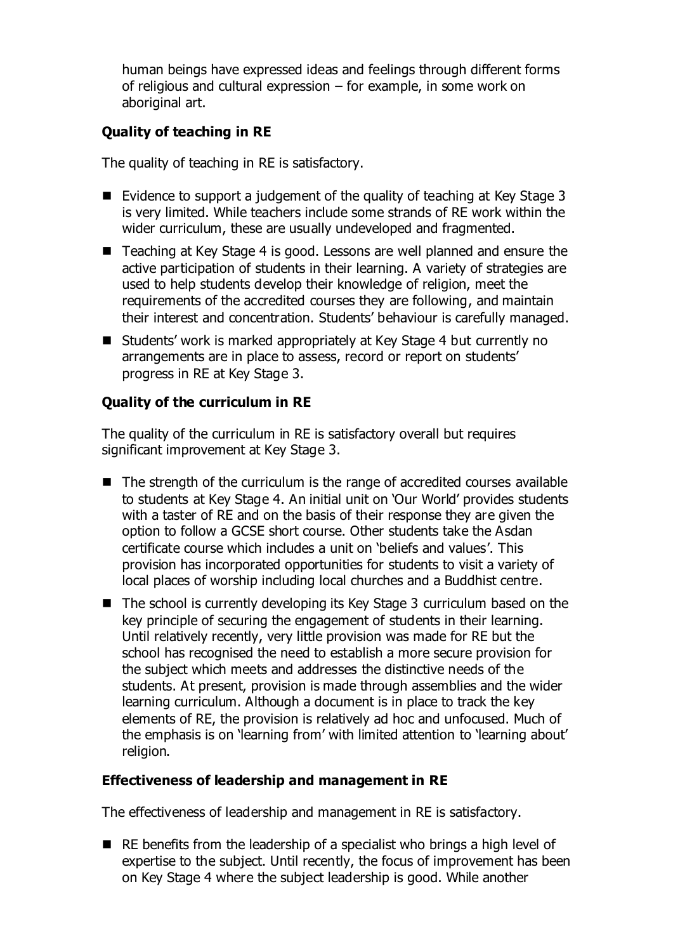human beings have expressed ideas and feelings through different forms of religious and cultural expression – for example, in some work on aboriginal art.

# **Quality of teaching in RE**

The quality of teaching in RE is satisfactory.

- Evidence to support a judgement of the quality of teaching at Key Stage 3 is very limited. While teachers include some strands of RE work within the wider curriculum, these are usually undeveloped and fragmented.
- Teaching at Key Stage 4 is good. Lessons are well planned and ensure the active participation of students in their learning. A variety of strategies are used to help students develop their knowledge of religion, meet the requirements of the accredited courses they are following, and maintain their interest and concentration. Students' behaviour is carefully managed.
- Students' work is marked appropriately at Key Stage 4 but currently no arrangements are in place to assess, record or report on students' progress in RE at Key Stage 3.

# **Quality of the curriculum in RE**

The quality of the curriculum in RE is satisfactory overall but requires significant improvement at Key Stage 3.

- The strength of the curriculum is the range of accredited courses available to students at Key Stage 4. An initial unit on 'Our World' provides students with a taster of RE and on the basis of their response they are given the option to follow a GCSE short course. Other students take the Asdan certificate course which includes a unit on 'beliefs and values'. This provision has incorporated opportunities for students to visit a variety of local places of worship including local churches and a Buddhist centre.
- The school is currently developing its Key Stage 3 curriculum based on the key principle of securing the engagement of students in their learning. Until relatively recently, very little provision was made for RE but the school has recognised the need to establish a more secure provision for the subject which meets and addresses the distinctive needs of the students. At present, provision is made through assemblies and the wider learning curriculum. Although a document is in place to track the key elements of RE, the provision is relatively ad hoc and unfocused. Much of the emphasis is on 'learning from' with limited attention to 'learning about' religion.

## **Effectiveness of leadership and management in RE**

The effectiveness of leadership and management in RE is satisfactory.

■ RE benefits from the leadership of a specialist who brings a high level of expertise to the subject. Until recently, the focus of improvement has been on Key Stage 4 where the subject leadership is good. While another